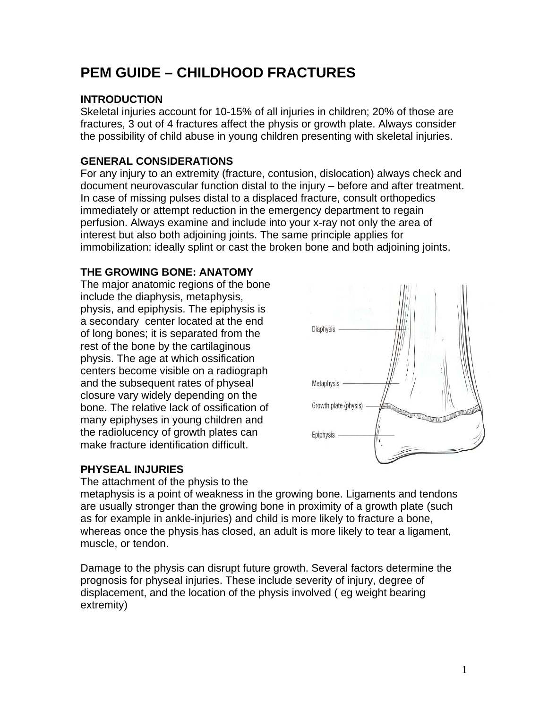# **PEM GUIDE – CHILDHOOD FRACTURES**

# **INTRODUCTION**

Skeletal injuries account for 10-15% of all injuries in children; 20% of those are fractures, 3 out of 4 fractures affect the physis or growth plate. Always consider the possibility of child abuse in young children presenting with skeletal injuries.

# **GENERAL CONSIDERATIONS**

For any injury to an extremity (fracture, contusion, dislocation) always check and document neurovascular function distal to the injury – before and after treatment. In case of missing pulses distal to a displaced fracture, consult orthopedics immediately or attempt reduction in the emergency department to regain perfusion. Always examine and include into your x-ray not only the area of interest but also both adjoining joints. The same principle applies for immobilization: ideally splint or cast the broken bone and both adjoining joints.

### **THE GROWING BONE: ANATOMY**

The major anatomic regions of the bone include the diaphysis, metaphysis, physis, and epiphysis. The epiphysis is a secondary center located at the end of long bones; it is separated from the rest of the bone by the cartilaginous physis. The age at which ossification centers become visible on a radiograph and the subsequent rates of physeal closure vary widely depending on the bone. The relative lack of ossification of many epiphyses in young children and the radiolucency of growth plates can make fracture identification difficult.



## **PHYSEAL INJURIES**

The attachment of the physis to the

metaphysis is a point of weakness in the growing bone. Ligaments and tendons are usually stronger than the growing bone in proximity of a growth plate (such as for example in ankle-injuries) and child is more likely to fracture a bone, whereas once the physis has closed, an adult is more likely to tear a ligament, muscle, or tendon.

Damage to the physis can disrupt future growth. Several factors determine the prognosis for physeal injuries. These include severity of injury, degree of displacement, and the location of the physis involved ( eg weight bearing extremity)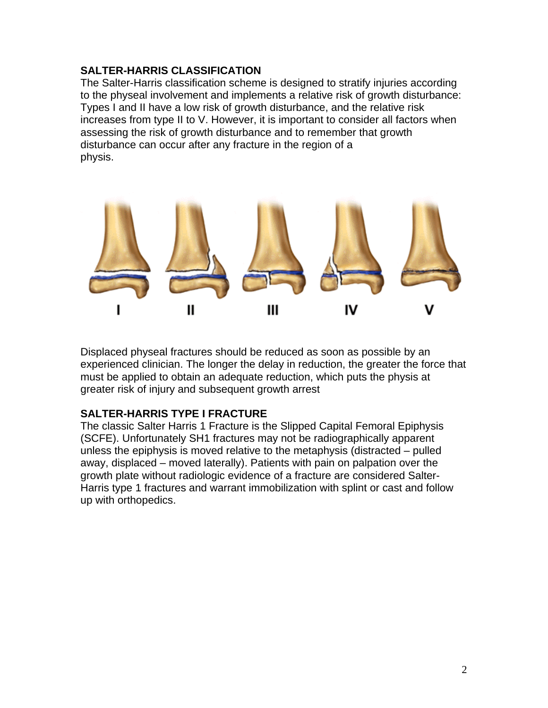#### **SALTER-HARRIS CLASSIFICATION**

The Salter-Harris classification scheme is designed to stratify injuries according to the physeal involvement and implements a relative risk of growth disturbance: Types I and II have a low risk of growth disturbance, and the relative risk increases from type II to V. However, it is important to consider all factors when assessing the risk of growth disturbance and to remember that growth disturbance can occur after any fracture in the region of a physis.



Displaced physeal fractures should be reduced as soon as possible by an experienced clinician. The longer the delay in reduction, the greater the force that must be applied to obtain an adequate reduction, which puts the physis at greater risk of injury and subsequent growth arrest

#### **SALTER-HARRIS TYPE I FRACTURE**

The classic Salter Harris 1 Fracture is the Slipped Capital Femoral Epiphysis (SCFE). Unfortunately SH1 fractures may not be radiographically apparent unless the epiphysis is moved relative to the metaphysis (distracted – pulled away, displaced – moved laterally). Patients with pain on palpation over the growth plate without radiologic evidence of a fracture are considered Salter-Harris type 1 fractures and warrant immobilization with splint or cast and follow up with orthopedics.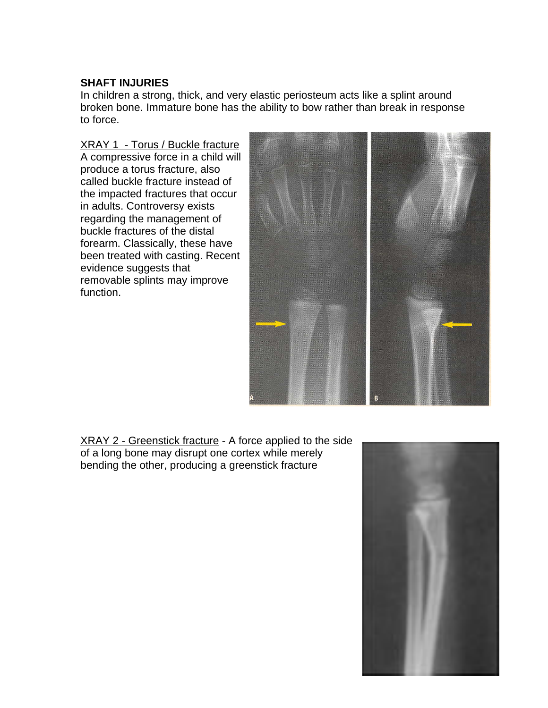#### **SHAFT INJURIES**

In children a strong, thick, and very elastic periosteum acts like a splint around broken bone. Immature bone has the ability to bow rather than break in response to force.

XRAY 1 - Torus / Buckle fracture A compressive force in a child will produce a torus fracture, also called buckle fracture instead of the impacted fractures that occur in adults. Controversy exists regarding the management of buckle fractures of the distal forearm. Classically, these have been treated with casting. Recent evidence suggests that removable splints may improve function.



XRAY 2 - Greenstick fracture - A force applied to the side of a long bone may disrupt one cortex while merely bending the other, producing a greenstick fracture

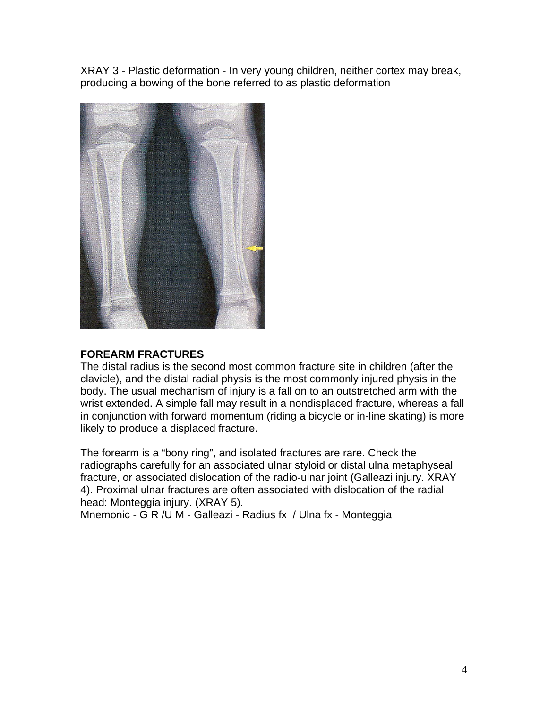XRAY 3 - Plastic deformation - In very young children, neither cortex may break, producing a bowing of the bone referred to as plastic deformation



### **FOREARM FRACTURES**

The distal radius is the second most common fracture site in children (after the clavicle), and the distal radial physis is the most commonly injured physis in the body. The usual mechanism of injury is a fall on to an outstretched arm with the wrist extended. A simple fall may result in a nondisplaced fracture, whereas a fall in conjunction with forward momentum (riding a bicycle or in-line skating) is more likely to produce a displaced fracture.

The forearm is a "bony ring", and isolated fractures are rare. Check the radiographs carefully for an associated ulnar styloid or distal ulna metaphyseal fracture, or associated dislocation of the radio-ulnar joint (Galleazi injury. XRAY 4). Proximal ulnar fractures are often associated with dislocation of the radial head: Monteggia injury. (XRAY 5).

Mnemonic - G R /U M - Galleazi - Radius fx / Ulna fx - Monteggia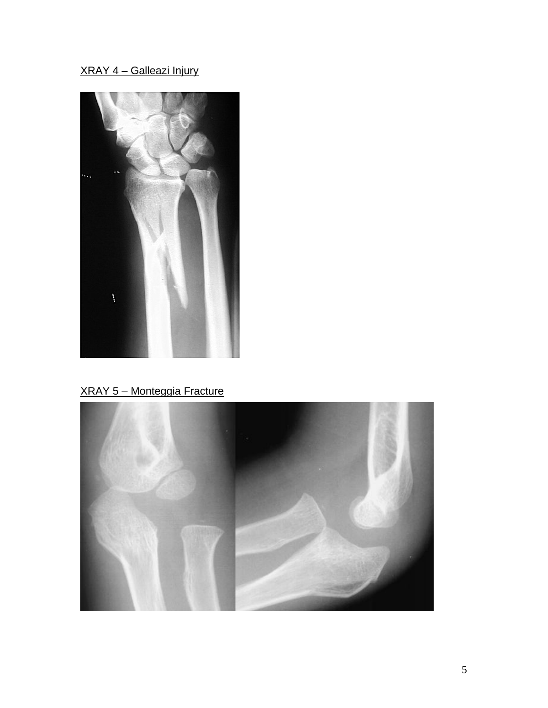# XRAY 4 – Galleazi Injury



# XRAY 5 – Monteggia Fracture

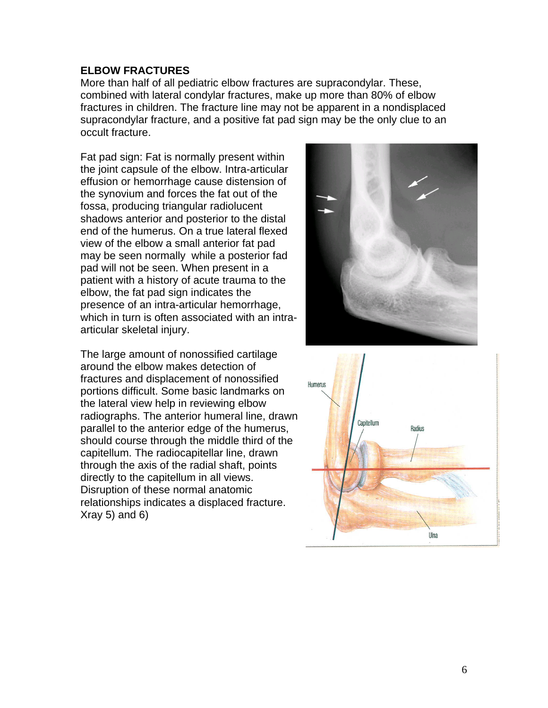#### **ELBOW FRACTURES**

More than half of all pediatric elbow fractures are supracondylar. These, combined with lateral condylar fractures, make up more than 80% of elbow fractures in children. The fracture line may not be apparent in a nondisplaced supracondylar fracture, and a positive fat pad sign may be the only clue to an occult fracture.

Fat pad sign: Fat is normally present within the joint capsule of the elbow. Intra-articular effusion or hemorrhage cause distension of the synovium and forces the fat out of the fossa, producing triangular radiolucent shadows anterior and posterior to the distal end of the humerus. On a true lateral flexed view of the elbow a small anterior fat pad may be seen normally while a posterior fad pad will not be seen. When present in a patient with a history of acute trauma to the elbow, the fat pad sign indicates the presence of an intra-articular hemorrhage, which in turn is often associated with an intraarticular skeletal injury.

The large amount of nonossified cartilage around the elbow makes detection of fractures and displacement of nonossified portions difficult. Some basic landmarks on the lateral view help in reviewing elbow radiographs. The anterior humeral line, drawn parallel to the anterior edge of the humerus, should course through the middle third of the capitellum. The radiocapitellar line, drawn through the axis of the radial shaft, points directly to the capitellum in all views. Disruption of these normal anatomic relationships indicates a displaced fracture.  $Xray 5)$  and 6)



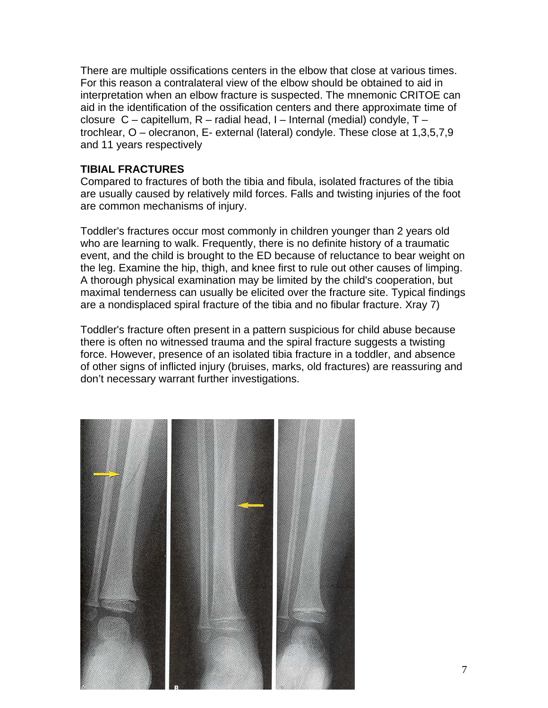There are multiple ossifications centers in the elbow that close at various times. For this reason a contralateral view of the elbow should be obtained to aid in interpretation when an elbow fracture is suspected. The mnemonic CRITOE can aid in the identification of the ossification centers and there approximate time of closure C – capitellum, R – radial head, I – Internal (medial) condyle, T – trochlear, O – olecranon, E- external (lateral) condyle. These close at 1,3,5,7,9 and 11 years respectively

#### **TIBIAL FRACTURES**

Compared to fractures of both the tibia and fibula, isolated fractures of the tibia are usually caused by relatively mild forces. Falls and twisting injuries of the foot are common mechanisms of injury.

Toddler's fractures occur most commonly in children younger than 2 years old who are learning to walk. Frequently, there is no definite history of a traumatic event, and the child is brought to the ED because of reluctance to bear weight on the leg. Examine the hip, thigh, and knee first to rule out other causes of limping. A thorough physical examination may be limited by the child's cooperation, but maximal tenderness can usually be elicited over the fracture site. Typical findings are a nondisplaced spiral fracture of the tibia and no fibular fracture. Xray 7)

Toddler's fracture often present in a pattern suspicious for child abuse because there is often no witnessed trauma and the spiral fracture suggests a twisting force. However, presence of an isolated tibia fracture in a toddler, and absence of other signs of inflicted injury (bruises, marks, old fractures) are reassuring and don't necessary warrant further investigations.